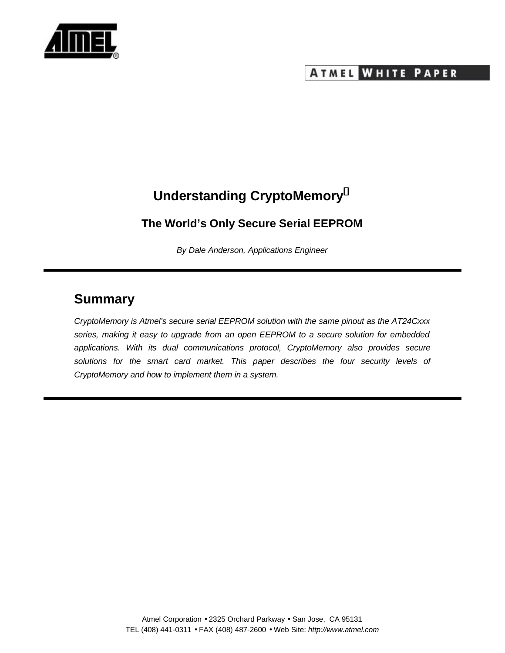

## **ATMEL WHITE PAPER**

# **Understanding [CryptoMemory](https://www.cardlogix.com/product-tag/cryptomemory/)<sup>â</sup>**

### **The World's Only Secure Serial EEPROM**

*By Dale Anderson, Applications Engineer*

# **Summary**

*CryptoMemory is [Atmel's](https://www.cardlogix.com/product-category/sort-by-manufacturer/atmel-corporation-memory-cryptomemory-smart-cards/) secure serial EEPROM solution with the same pinout as the AT24Cxxx series, making it easy to upgrade from an open EEPROM to a secure solution for embedded applications. With its dual communications protocol, CryptoMemory also provides secure solutions for the smart card market. This paper describes the four security levels of CryptoMemory and how to implement them in a system.*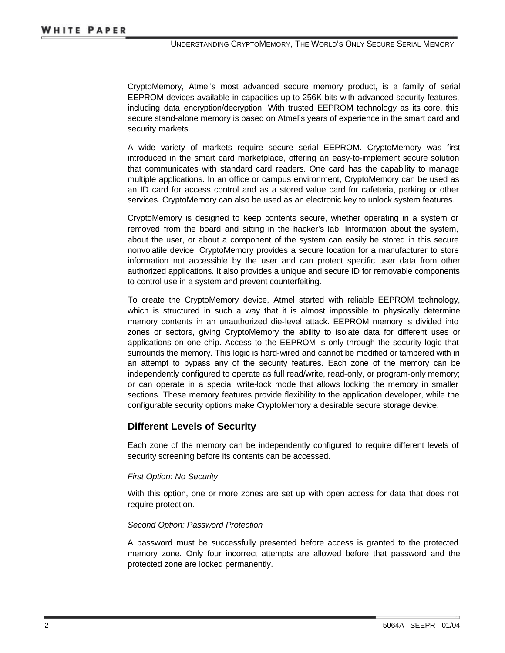CryptoMemory, Atmel's most advanced [secure memory](https://www.cardlogix.com/product-category/smart-cards/memory-cards/protected-memory-cards/) product, is a family of serial EEPROM devices available in capacities up to 256K bits with advanced security features, including data encryption/decryption. With trusted EEPROM technology as its core, this secure stand-alone memory is based on Atmel's years of experience in the smart card and security markets.

A wide variety of markets require secure serial EEPROM. CryptoMemory was first introduced in the [smart card](https://www.cardlogix.com/product-category/smart-cards/) marketplace, offering an easy-to-implement secure solution that communicates with standard card readers. One card has the capability to manage multiple applications. In an office or campus environment, CryptoMemory can be used as an ID card for access control and as a stored value card for cafeteria, parking or other services. CryptoMemory can also be used as an electronic key to unlock system features.

CryptoMemory is designed to keep contents secure, whether operating in a system or removed from the board and sitting in the hacker's lab. Information about the system, about the user, or about a component of the system can easily be stored in this secure nonvolatile device. CryptoMemory provides a secure location for a manufacturer to store information not accessible by the user and can protect specific user data from other authorized applications. It also provides a unique and secure ID for removable components to control use in a system and prevent counterfeiting.

To create the CryptoMemory device, Atmel started with reliable EEPROM technology, which is structured in such a way that it is almost impossible to physically determine memory contents in an unauthorized die-level attack. EEPROM memory is divided into zones or sectors, giving CryptoMemory the ability to isolate data for different uses or applications on one chip. Access to the EEPROM is only through the security logic that surrounds the memory. This logic is hard-wired and cannot be modified or tampered with in an attempt to bypass any of the security features. Each zone of the memory can be independently configured to operate as full read/write, read-only, or program-only memory; or can operate in a special write-lock mode that allows locking the memory in smaller sections. These memory features provide flexibility to the application developer, while the configurable security options make CryptoMemory a desirable secure storage device.

### **Different Levels of Security**

Each zone of the memory can be independently configured to require different levels of security screening before its contents can be accessed.

#### *First Option: No Security*

With this option, one or more zones are set up with open access for data that does not require protection.

#### *Second Option: Password Protection*

A password must be successfully presented before access is granted to the protected memory zone. Only four incorrect attempts are allowed before that password and the protected zone are locked permanently.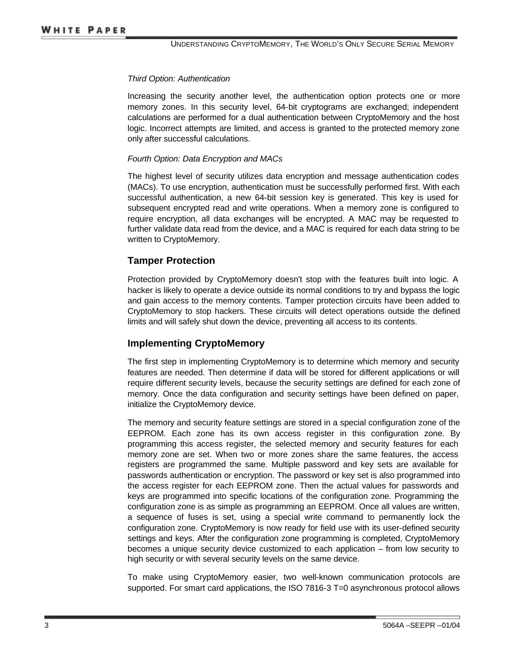#### *Third Option: Authentication*

Increasing the security another level, the authentication option protects one or more memory zones. In this security level, 64-bit cryptograms are exchanged; independent calculations are performed for a dual authentication between CryptoMemory and the host logic. Incorrect attempts are limited, and access is granted to the protected memory zone only after successful calculations.

#### *Fourth Option: Data Encryption and MACs*

The highest level of security utilizes data encryption and message authentication codes (MACs). To use encryption, authentication must be successfully performed first. With each successful authentication, a new 64-bit session key is generated. This key is used for subsequent encrypted read and write operations. When a memory zone is configured to require encryption, all data exchanges will be encrypted. A MAC may be requested to further validate data read from the device, and a MAC is required for each data string to be written to CryptoMemory.

#### **Tamper Protection**

Protection provided by CryptoMemory doesn't stop with the features built into logic. A hacker is likely to operate a device outside its normal conditions to try and bypass the logic and gain access to the memory contents. Tamper protection circuits have been added to CryptoMemory to stop hackers. These circuits will detect operations outside the defined limits and will safely shut down the device, preventing all access to its contents.

#### **Implementing CryptoMemory**

The first step in implementing CryptoMemory is to determine which memory and security features are needed. Then determine if data will be stored for different applications or will require different security levels, because the security settings are defined for each zone of memory. Once the data configuration and security settings have been defined on paper, initialize the CryptoMemory device.

The memory and security feature settings are stored in a special configuration zone of the EEPROM. Each zone has its own access register in this configuration zone. By programming this access register, the selected memory and security features for each memory zone are set. When two or more zones share the same features, the access registers are programmed the same. Multiple password and key sets are available for passwords authentication or encryption. The password or key set is also programmed into the access register for each EEPROM zone. Then the actual values for passwords and keys are programmed into specific locations of the configuration zone. Programming the configuration zone is as simple as programming an EEPROM. Once all values are written, a sequence of fuses is set, using a special write command to permanently lock the configuration zone. CryptoMemory is now ready for field use with its user-defined security settings and keys. After the configuration zone programming is completed, CryptoMemory becomes a unique security device customized to each application – from low security to high security or with several security levels on the same device.

To make using CryptoMemory easier, two well-known communication protocols are supported. For [smart card applications](https://www.cardlogix.com/product-category/software/applications/), the ISO 7816-3 T=0 asynchronous protocol allows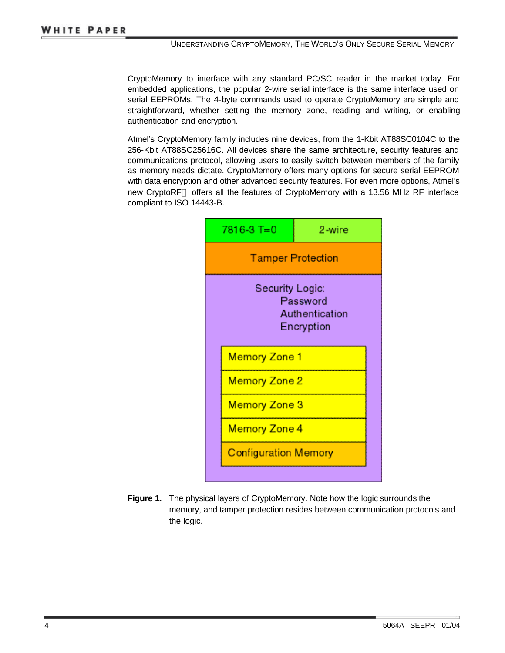CryptoMemory to interface with any standard PC/SC reader in the market today. For embedded applications, the popular 2-wire serial interface is the same interface used on serial EEPROMs. The 4-byte commands used to operate CryptoMemory are simple and straightforward, whether setting the memory zone, reading and writing, or enabling authentication and encryption.

Atmel's CryptoMemory family includes nine devices, from the 1-Kbit AT88SC0104C to the 256-Kbit AT88SC25616C. All devices share the same architecture, security features and communications protocol, allowing users to easily switch between members of the family as memory needs dictate. CryptoMemory offers many options for secure serial EEPROM with data encryption and other advanced security features. For even more options, Atmel's new CryptoRF™ offers all the features of CryptoMemory with a 13.56 MHz RF interface compliant to ISO 14443-B.



**Figure 1.** The physical layers of CryptoMemory. Note how the logic surrounds the memory, and tamper protection resides between communication protocols and the logic.